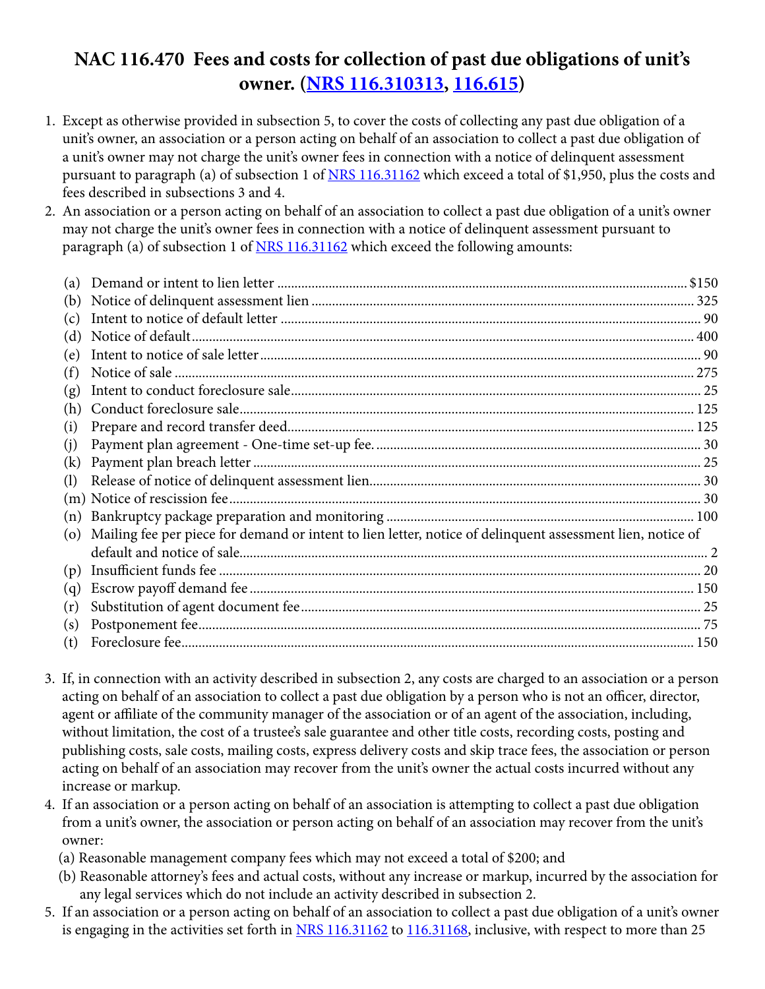## **NAC 116.470 Fees and costs for collection of past due obligations of unit's owner. [\(NRS 116.310313](http://www.leg.state.nv.us/NRS/NRS-116.html#NRS116Sec310313), [116.615\)](http://www.leg.state.nv.us/NRS/NRS-116.html#NRS116Sec615)**

- 1. Except as otherwise provided in subsection 5, to cover the costs of collecting any past due obligation of a unit's owner, an association or a person acting on behalf of an association to collect a past due obligation of a unit's owner may not charge the unit's owner fees in connection with a notice of delinquent assessment pursuant to paragraph (a) of subsection 1 of [NRS 116.31162](http://www.leg.state.nv.us/NRS/NRS-116.html#NRS116Sec31162) which exceed a total of \$1,950, plus the costs and fees described in subsections 3 and 4.
- 2. An association or a person acting on behalf of an association to collect a past due obligation of a unit's owner may not charge the unit's owner fees in connection with a notice of delinquent assessment pursuant to paragraph (a) of subsection 1 of [NRS 116.31162](http://www.leg.state.nv.us/NRS/NRS-116.html#NRS116Sec31162) which exceed the following amounts:

| (a) |                                                                                                            |  |
|-----|------------------------------------------------------------------------------------------------------------|--|
| (b) |                                                                                                            |  |
| (c) |                                                                                                            |  |
| (d) |                                                                                                            |  |
| (e) |                                                                                                            |  |
| (f) |                                                                                                            |  |
| (g) |                                                                                                            |  |
| (h) |                                                                                                            |  |
| (i) |                                                                                                            |  |
| (i) |                                                                                                            |  |
| (k) |                                                                                                            |  |
| (1) |                                                                                                            |  |
|     |                                                                                                            |  |
| (n) |                                                                                                            |  |
| (o) | Mailing fee per piece for demand or intent to lien letter, notice of delinquent assessment lien, notice of |  |
|     |                                                                                                            |  |
| (p) |                                                                                                            |  |
| (q) |                                                                                                            |  |
| (r) |                                                                                                            |  |
| (s) |                                                                                                            |  |
| (t) |                                                                                                            |  |

- 3. If, in connection with an activity described in subsection 2, any costs are charged to an association or a person acting on behalf of an association to collect a past due obligation by a person who is not an officer, director, agent or affiliate of the community manager of the association or of an agent of the association, including, without limitation, the cost of a trustee's sale guarantee and other title costs, recording costs, posting and publishing costs, sale costs, mailing costs, express delivery costs and skip trace fees, the association or person acting on behalf of an association may recover from the unit's owner the actual costs incurred without any increase or markup.
- 4. If an association or a person acting on behalf of an association is attempting to collect a past due obligation from a unit's owner, the association or person acting on behalf of an association may recover from the unit's owner:
	- (a) Reasonable management company fees which may not exceed a total of \$200; and
	- (b) Reasonable attorney's fees and actual costs, without any increase or markup, incurred by the association for any legal services which do not include an activity described in subsection 2.
- 5. If an association or a person acting on behalf of an association to collect a past due obligation of a unit's owner is engaging in the activities set forth in [NRS 116.31162](http://www.leg.state.nv.us/NRS/NRS-116.html#NRS116Sec31162) to [116.31168,](http://www.leg.state.nv.us/NRS/NRS-116.html#NRS116Sec31162) inclusive, with respect to more than 25